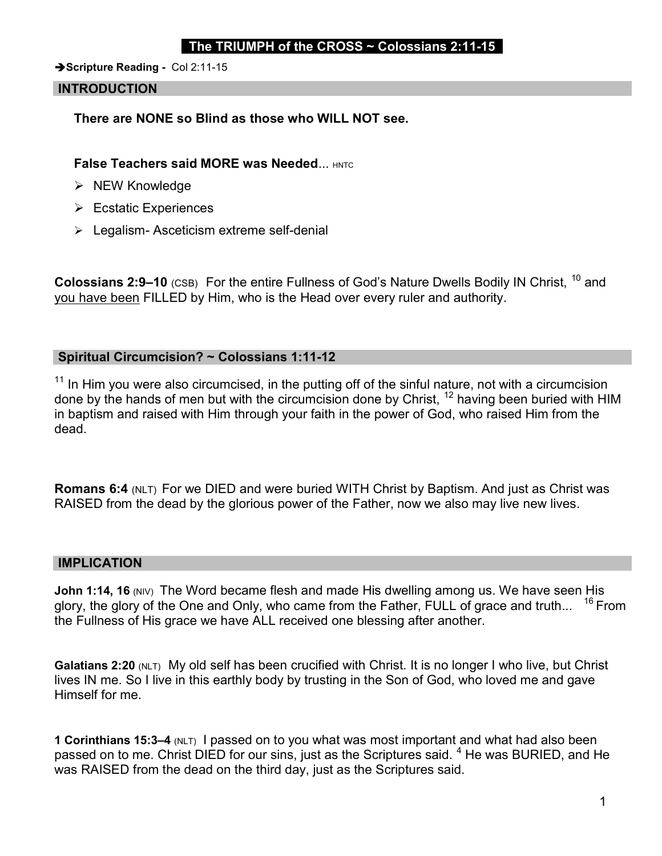## The TRIUMPH of the CROSS  $\sim$  Colossians 2:11-15

Scripture Reading - Col 2:11-15

### INTRODUCTION

There are NONE so Blind as those who WILL NOT see.

**False Teachers said MORE was Needed... HNTC** 

- $\triangleright$  NEW Knowledge
- **► Ecstatic Experiences**
- $\triangleright$  Legalism-Asceticism extreme self-denial

Colossians 2:9-10 (CSB) For the entire Fullness of God's Nature Dwells Bodily IN Christ, <sup>10</sup> and you have been FILLED by Him, who is the Head over every ruler and authority.

## Spiritual Circumcision? ~ Colossians 1:11-12

 $11$  In Him you were also circumcised, in the putting off of the sinful nature, not with a circumcision done by the hands of men but with the circumcision done by Christ, <sup>12</sup> having been buried with HIM in baptism and raised with Him through your faith in the power of God, who raised Him from the dead.

Romans 6:4 (NLT) For we DIED and were buried WITH Christ by Baptism. And just as Christ was RAISED from the dead by the glorious power of the Father, now we also may live new lives.

#### IMPLICATION

John 1:14, 16 (NIV) The Word became flesh and made His dwelling among us. We have seen His glory, the glory of the One and Only, who came from the Father, FULL of grace and truth...  $16$  From the Fullness of His grace we have ALL received one blessing after another.

Galatians 2:20 (NLT) My old self has been crucified with Christ. It is no longer I who live, but Christ lives IN me. So I live in this earthly body by trusting in the Son of God, who loved me and gave Himself for me.

1 Corinthians 15:3–4 (NLT) I passed on to you what was most important and what had also been passed on to me. Christ DIED for our sins, just as the Scriptures said.  $^4$  He was BURIED, and He was RAISED from the dead on the third day, just as the Scriptures said.